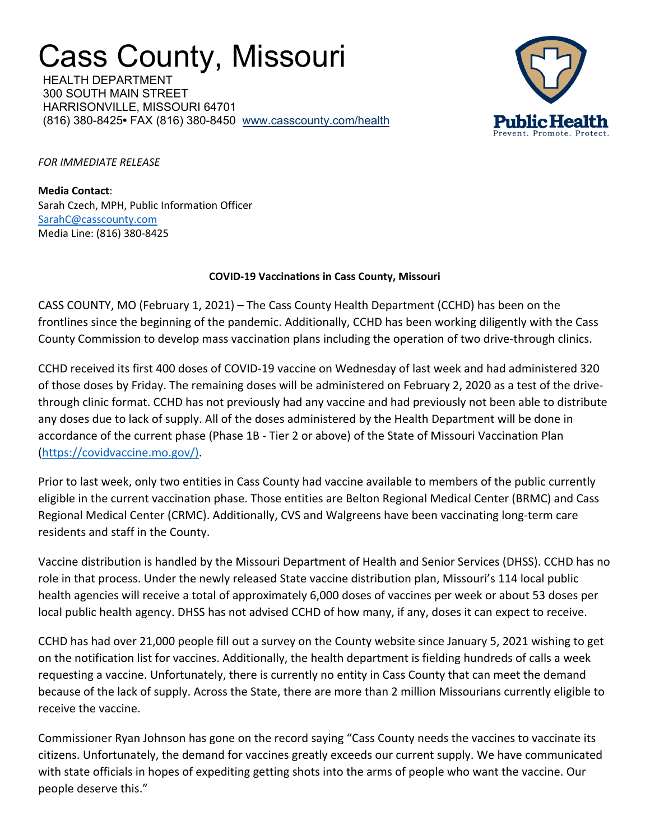## Cass County, Missouri

HEALTH DEPARTMENT 300 SOUTH MAIN STREET HARRISONVILLE, MISSOURI 64701 (816) 380-8425**•** FAX (816) 380-8450 www.casscounty.com/health



*FOR IMMEDIATE RELEASE*

**Media Contact**: Sarah Czech, MPH, Public Information Officer SarahC@casscounty.com<br>Media Line: (816) 380-8425

## **COVID-19 Vaccinations in Cass County, Missouri**

CASS COUNTY, MO (February 1, 2021) – The Cass County Health Department (CCHD) has been on the frontlines since the beginning of the pandemic. Additionally, CCHD has been working diligently with the Cass County Commission to develop mass vaccination plans including the operation of two drive-through clinics.

CCHD received its first 400 doses of COVID-19 vaccine on Wednesday of last week and had administered 320 of those doses by Friday. The remaining doses will be administered on February 2, 2020 as a test of the drivethrough clinic format. CCHD has not previously had any vaccine and had previously not been able to distribute any doses due to lack of supply. All of the doses administered by the Health Department will be done in accordance of the current phase (Phase 1B - Tier 2 or above) of the State of Missouri Vaccination Plan (https://covidvaccine.mo.gov/).

Prior to last week, only two entities in Cass County had vaccine available to members of the public currently eligible in the current vaccination phase. Those entities are Belton Regional Medical Center (BRMC) and Cass Regional Medical Center (CRMC). Additionally, CVS and Walgreens have been vaccinating long-term care residents and staff in the County.

Vaccine distribution is handled by the Missouri Department of Health and Senior Services (DHSS). CCHD has no role in that process. Under the newly released State vaccine distribution plan, Missouri's 114 local public health agencies will receive a total of approximately 6,000 doses of vaccines per week or about 53 doses per local public health agency. DHSS has not advised CCHD of how many, if any, doses it can expect to receive.

CCHD has had over 21,000 people fill out a survey on the County website since January 5, 2021 wishing to get on the notification list for vaccines. Additionally, the health department is fielding hundreds of calls a week requesting a vaccine. Unfortunately, there is currently no entity in Cass County that can meet the demand because of the lack of supply. Across the State, there are more than 2 million Missourians currently eligible to receive the vaccine.

Commissioner Ryan Johnson has gone on the record saying "Cass County needs the vaccines to vaccinate its citizens. Unfortunately, the demand for vaccines greatly exceeds our current supply. We have communicated with state officials in hopes of expediting getting shots into the arms of people who want the vaccine. Our people deserve this."